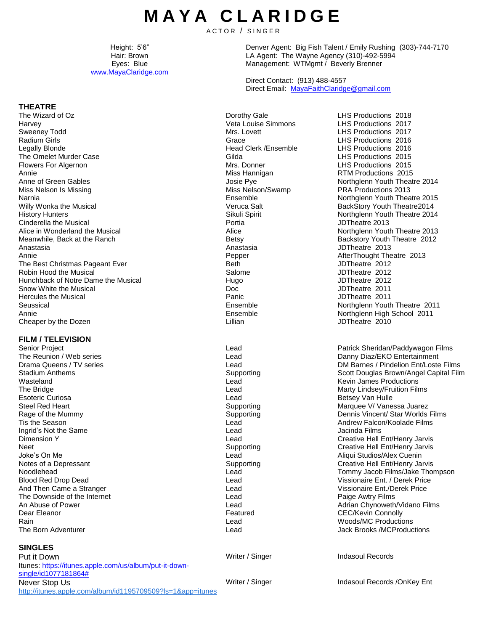# **M A Y A C L A R I D G E**

ACTOR / SINGER

Height: 5'6" Hair: Brown Eyes: Blue [www.MayaClaridge.com](http://www.mayaclaridge.com/) Denver Agent: Big Fish Talent / Emily Rushing (303)-744-7170 LA Agent: The Wayne Agency (310)-492-5994 Management: WTMgmt / Beverly Brenner

Direct Contact: (913) 488-4557 Direct Email: [MayaFaithClaridge@gmail.com](mailto:MayaFaithClaridge@gmail.com)

# **THEATRE**

The Wizard of Oz **Christian Community Constructions** 2018<br>Harvey **Christian Community Community Community** Veta Louise Simmons CHS Productions 2017 Harvey Veta Louise Simmons LHS Productions 2017 Sweeney Todd Mrs. Lovett LHS Productions 2017 Radium Girls Crace Ending Crace Crace Crace LHS Productions 2016<br>
Legally Blonde Clerk / Ensemble LHS Productions 2016 The Omelet Murder Case Gilda Case Gilda LHS Productions 2015 Flowers For Algernon Mrs. Donner Mrs. Donner Mrs. Donner LHS Productions 2015 Annie Miss Hannigan RTM Productions 2015 Anne of Green Gables **Annual Community Community** Josie Pye Northglenn Youth Theatre 2014 Miss Nelson Is Missing Narnia Willy Wonka the Musical History Hunters Cinderella the Musical Alice in Wonderland the Musical Meanwhile, Back at the Ranch **Backstory Youth Theatre 2012** Backstory Youth Theatre 2012 Anastasia Anastasia JDTheatre 2013 Annie **Annie AfterThought Theatre 2013**<br> **AfterThought Theatre 2013**<br> **Beth** Beth Beth JDTheatre 2012 The Best Christmas Pageant Ever **Best Christmas Pageant Ever Accord Control** Beth JDTheatre 2012<br>Robin Hood the Musical Best Christmas Salome Salome Salome and JDTheatre 2012 Robin Hood the Musical **National Salome** Salome 3012<br>
Hugo Hunchback of Notre Dame the Musical Salome 3012<br>
Hugo Hugo JDTheatre 2012 Hunchback of Notre Dame the Musical and Musical and Hugo Controller extending the Musical Hugo JDTheatre 2012<br>
Show White the Musical and Show White the Musical and Musical Controller and Doc Snow White the Musical Doc Hercules the Musical Seussical Annie Ensemble Northglenn High School 2011 Cheaper by the Dozen **Cheaper by the Dozen** Cheaper by the Dozen **Lillian** Cheaper by the Dozen **Lillian** JDTheatre 2010

# **FILM / TELEVISION**

The Reunion / Web series Drama Queens / TV series Stadium Anthems Wasteland The Bridge Esoteric Curiosa **Lead** Betsey Van Hulle **Lead Lead Betsey Van Hulle** Betsey Van Hulle Steel Red Heart National Supporting Marquee V/ Vanessa Juarez Ingrid's Not the Same **Internal Controller Controller Controller** Lead Lead Dimension Y<br>Dimension Y And Then Came a Stranger Lead Visual Price Enter Lead The Downside of the Internet **Contract Contract Contract Contract Lead Paige Awtry Films** Dear Eleanor **CEC/Kevin Connolly CEC/Kevin Connolly CEC/Kevin Connolly** Rain Lead Woods/MC Productions

# **SINGLES**

Put it Down Itunes: [https://itunes.apple.com/us/album/put-it-down](https://itunes.apple.com/us/album/put-it-down-single/id1077181864)[single/id1077181864#](https://itunes.apple.com/us/album/put-it-down-single/id1077181864) Never Stop Us <http://itunes.apple.com/album/id1195709509?ls=1&app=itunes> Miss Nelson/Swamp Ensemble Veruca Salt Sikuli Spirit Portia Alice Panic Ensemble Lead Lead Supporting Lead Lead

LHS Productions 2016<br>LHS Productions 2015 PRA Productions 2013 Northglenn Youth Theatre 2015 BackStory Youth Theatre2014 Northglenn Youth Theatre 2014 JDTheatre 2013 Northglenn Youth Theatre 2013 JDTheatre 2011 Northglenn Youth Theatre 2011

Lead **Patrick Sheridan/Paddywagon Films** Danny Diaz/EKO Entertainment DM Barnes / Pindelion Ent/Loste Films Scott Douglas Brown/Angel Capital Film Kevin James Productions Marty Lindsey/Fruition Films Rage of the Mummy Supporting Dennis Vincent/ Star Worlds Films Tis the Season **Lead Lead** Andrew Falcon/Koolade Films Creative Hell Ent/Henry Jarvis Neet Creative Hell Ent/Henry Jarvis Creative Hell Ent/Henry Jarvis<br>
Lead Lead Creative Hell Ent/Henry Jarvis Lead Aliqui Studios/Alex Cuenin Aliqui Studios/Alex Cuenin Notes of a Depressant The Creative Hell Ent/Henry Jarvis Creative Hell Ent/Henry Jarvis Noodlehead Lead Tommy Jacob Films/Jake Thompson Blood Red Drop Dead Lead Vissionaire Ent. / Derek Price An Abuse of Power **Adrian Chynoweth/Vidano Films** Lead Lead Adrian Chynoweth/Vidano Films Lead Lead Jack Brooks /MCProductions

Writer / Singer Indasoul Records

Writer / Singer Indasoul Records / OnKey Ent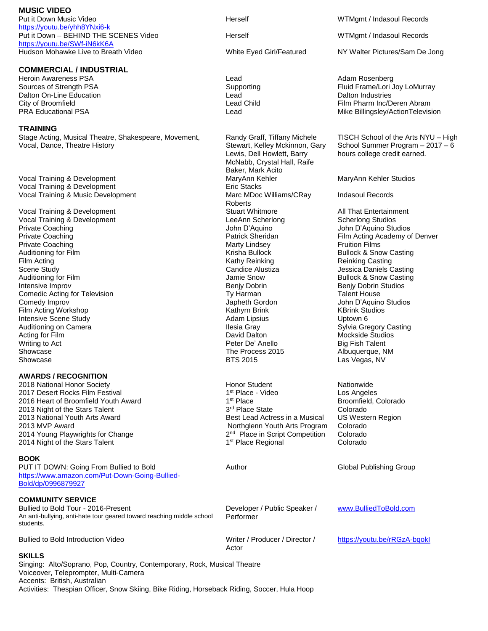**MUSIC VIDEO** Put it Down Music Video <https://youtu.be/yhh8YNxi6-k> Put it Down – BEHIND THE SCENES Video <https://youtu.be/SWf-iN6kK6A> Hudson Mohawke Live to Breath Video **White Eyed Girl/Featured** NY Walter Pictures/Sam De Jong

### **COMMERCIAL / INDUSTRIAL**

Heroin Awareness PSA و Heroin Awareness PSA و Lead و Lead و Adam Rosenberg<br>Sources of Strength PSA و Supporting Supporting Supporting Fluid Frame/Lori Dalton On-Line Education **Dalton Industries** Lead Lead Dalton Industries

# **TRAINING**

Stage Acting, Musical Theatre, Shakespeare, Movement, Vocal, Dance, Theatre History

Vocal Training & Development MaryAnn Kehler MaryAnn Kehler Studios Vocal Training & Development **Example 20** Eric Stacks Vocal Training & Music Development Marc MDoc Williams/CRay

Vocal Training & Development **Stuart Whitmore** Stuart Whitmore All That Entertainment Vocal Training & Development<br>
Vocal Training & Development **Stuart All That Entertainment** Vocal Training & Development Vocal Training & Development <br>
Private Coaching Studios Contract Coaching Studios Contract Coaching Studios Contract Coaching Studios Contra<br>

Private Coaching Studios Contract Contract Contract Contract Contract Contract Private Coaching **Private Coaching Coaching Coaching Coaching** John D'Aquino John D'Aquino John D'Aquino Studios<br>Patrick Sheridan **Private Coaching** Coaching Coaching Studios Patrick Sheridan **Private Coaching Academy of** Private Coaching The Coaching Contract of the Marty Lindsey Coaching Truition Films Auditioning for Film **Auditioning for Film Contract Bullock Bullock Bullock Bullock & Snow Casting** Film Acting Casting Casting Casting Casting Casting Casting Casting Casting Casting Casting Casting Casting Casting Casting Casting Casting Casting Casting Casting Casting Casting Casting Casting Casting Casting Casting Ca Scene Study Candice Alustiza Jessica Daniels Casting Auditioning for Film **Auditioning for Film Contract Contract Contract Contract Contract Contract Contract Contract Contract Contract Contract Contract Contract Contract Contract Contract Contract Contract Contract Contract** Comedic Acting for Television **The Comedian Comediance Comediance Comediance Ty Harman** Talent House Comedy Improv Japheth Gordon John D'Aquino Studios Film Acting Workshop Kathyrn Brink Intensive Scene Study Adam Lipsius Uptown 6 Auditioning on Camera **Ilesia Gray Sylvia Gregory Casting** Ilesia Gray **Ilesia Gray** Sylvia Gregory Casting Acting for Film **Acting for Film Contract Contract Contract Contract Contract Contract Contract David Dalton Mockside Studios** Writing to Act **Peter De' Anello** Big Fish Talent Showcase **The Process 2015** Albuquerque, NM Showcase **BTS 2015** Las Vegas, NV

#### **AWARDS / RECOGNITION**

2017 Desert Rocks Film Festival 2017 1<sup>st</sup> Place<br>
2016 Heart of Broomfield Youth Award 1 1st Place 2016 Heart of Broomfield Youth Award 1 2013 Night of the Stars Talent 2013 National Youth Arts Award 2013 MVP Award 2014 Young Playwrights for Change 2014 Night of the Stars Talent

#### **BOOK**

PUT IT DOWN: Going From Bullied to Bold [https://www.amazon.com/Put-Down-Going-Bullied-](https://www.amazon.com/Put-Down-Going-Bullied-Bold/dp/0996879927)[Bold/dp/0996879927](https://www.amazon.com/Put-Down-Going-Bullied-Bold/dp/0996879927)

#### **COMMUNITY SERVICE**

Bullied to Bold Tour - 2016-Present An anti-bullying, anti-hate tour geared toward reaching middle school students.

Bullied to Bold Introduction Video Wideo Writer / Producer / Director /

#### **SKILLS**

Singing: Alto/Soprano, Pop, Country, Contemporary, Rock, Musical Theatre Voiceover, Teleprompter, Multi-Camera Accents: British, Australian Activities: Thespian Officer, Snow Skiing, Bike Riding, Horseback Riding, Soccer, Hula Hoop

Randy Graff, Tiffany Michele Stewart, Kelley Mckinnon, Gary Lewis, Dell Howlett, Barry McNabb, Crystal Hall, Raife Baker, Mark Acito Roberts Benjy Dobrin **Benjy Dobrin Studios** 

2018 National Honor Society **National Accord Contract Contract Accord Honor Student Nationwide** Nationwide 1<sup>st</sup> Place - Video Los Angeles 3<sup>rd</sup> Place State Colorado Best Lead Actress in a Musical Northglenn Youth Arts Program <sup>nd</sup> Place in Script Competition Colorado 1<sup>st</sup> Place Regional Colorado

Author Global Publishing Group

Actor

Developer / Public Speaker / Performer

[www.BulliedToBold.com](http://www.bulliedtobold.com/)

<https://youtu.be/rRGzA-bqokI>

Herself WTMgmt / Indasoul Records

Herself WTMgmt / Indasoul Records

Fluid Frame/Lori Joy LoMurray City of Broomfield Lead Child Film Pharm Inc/Deren Abram PRA Educational PSA Lead Lead Mike Billingsley/ActionTelevision

> TISCH School of the Arts NYU – High School Summer Program – 2017 – 6 hours college credit earned.

Indasoul Records

Film Acting Academy of Denver

Broomfield, Colorado US Western Region Colorado<br>Colorado